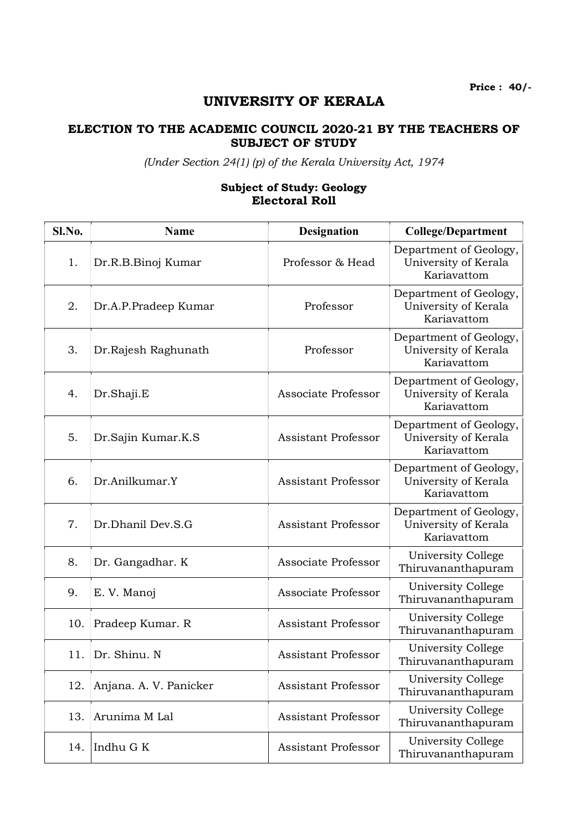## UNIVERSITY OF KERALA

## ELECTION TO THE ACADEMIC COUNCIL 2020-21 BY THE TEACHERS OF SUBJECT OF STUDY

(Under Section 24(1) (p) of the Kerala University Act, 1974

## Subject of Study: Geology Electoral Roll

| Sl.No. | <b>Name</b>            | <b>Designation</b>         | <b>College/Department</b>                                     |
|--------|------------------------|----------------------------|---------------------------------------------------------------|
| 1.     | Dr.R.B.Binoj Kumar     | Professor & Head           | Department of Geology,<br>University of Kerala<br>Kariavattom |
| 2.     | Dr.A.P.Pradeep Kumar   | Professor                  | Department of Geology,<br>University of Kerala<br>Kariavattom |
| 3.     | Dr. Rajesh Raghunath   | Professor                  | Department of Geology,<br>University of Kerala<br>Kariavattom |
| 4.     | Dr.Shaji.E             | Associate Professor        | Department of Geology,<br>University of Kerala<br>Kariavattom |
| 5.     | Dr.Sajin Kumar.K.S     | <b>Assistant Professor</b> | Department of Geology,<br>University of Kerala<br>Kariavattom |
| 6.     | Dr.Anilkumar.Y         | <b>Assistant Professor</b> | Department of Geology,<br>University of Kerala<br>Kariavattom |
| 7.     | Dr.Dhanil Dev.S.G      | <b>Assistant Professor</b> | Department of Geology,<br>University of Kerala<br>Kariavattom |
| 8.     | Dr. Gangadhar. K       | Associate Professor        | University College<br>Thiruvananthapuram                      |
| 9.     | E. V. Manoj            | Associate Professor        | University College<br>Thiruvananthapuram                      |
| 10.    | Pradeep Kumar. R       | <b>Assistant Professor</b> | University College<br>Thiruvananthapuram                      |
| 11.    | Dr. Shinu. N           | <b>Assistant Professor</b> | University College<br>Thiruvananthapuram                      |
| 12.    | Anjana. A. V. Panicker | Assistant Professor        | University College<br>Thiruvananthapuram                      |
| 13.    | Arunima M Lal          | <b>Assistant Professor</b> | University College<br>Thiruvananthapuram                      |
| 14.    | Indhu G K              | Assistant Professor        | University College<br>Thiruvananthapuram                      |